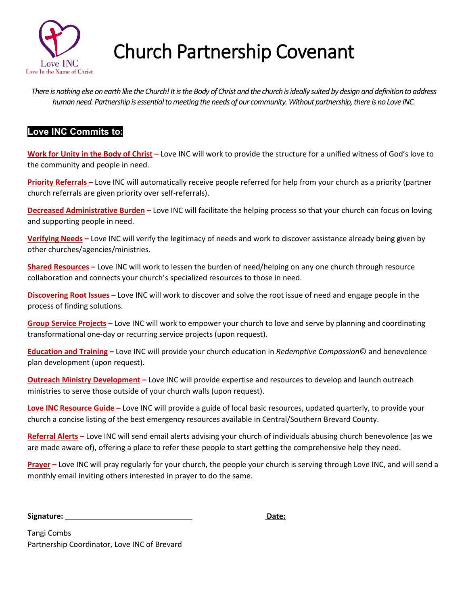

## Church Partnership Covenant

*There is nothing else on earth like the Church! It is the Body of Christ and the church is ideally suited by design and definition to address human need. Partnership is essential to meeting the needs of our community. Without partnership, there is no Love INC.*

## **Love INC Commits to:**

**Work for Unity in the Body of Christ –** Love INC will work to provide the structure for a unified witness of God's love to the community and people in need.

**Priority Referrals –** Love INC will automatically receive people referred for help from your church as a priority (partner church referrals are given priority over self-referrals).

**Decreased Administrative Burden –** Love INC will facilitate the helping process so that your church can focus on loving and supporting people in need.

**Verifying Needs –** Love INC will verify the legitimacy of needs and work to discover assistance already being given by other churches/agencies/ministries.

**Shared Resources –** Love INC will work to lessen the burden of need/helping on any one church through resource collaboration and connects your church's specialized resources to those in need.

**Discovering Root Issues –** Love INC will work to discover and solve the root issue of need and engage people in the process of finding solutions.

**Group Service Projects –** Love INC will work to empower your church to love and serve by planning and coordinating transformational one-day or recurring service projects (upon request).

**Education and Training –** Love INC will provide your church education in *Redemptive Compassion*© and benevolence plan development (upon request).

**Outreach Ministry Development –** Love INC will provide expertise and resources to develop and launch outreach ministries to serve those outside of your church walls (upon request).

**Love INC Resource Guide –** Love INC will provide a guide of local basic resources, updated quarterly, to provide your church a concise listing of the best emergency resources available in Central/Southern Brevard County.

**Referral Alerts –** Love INC will send email alerts advising your church of individuals abusing church benevolence (as we are made aware of), offering a place to refer these people to start getting the comprehensive help they need.

**Prayer –** Love INC will pray regularly for your church, the people your church is serving through Love INC, and will send a monthly email inviting others interested in prayer to do the same.

**Signature:** Date: **Date: Date: Date: Date: Date: Date: Date: Date: Date: Date: Date: Date: Date: Date: Date: Date: Date: Date: Date: Date: Date: Date: Date: Date: Date: Da** 

Tangi Combs Partnership Coordinator, Love INC of Brevard